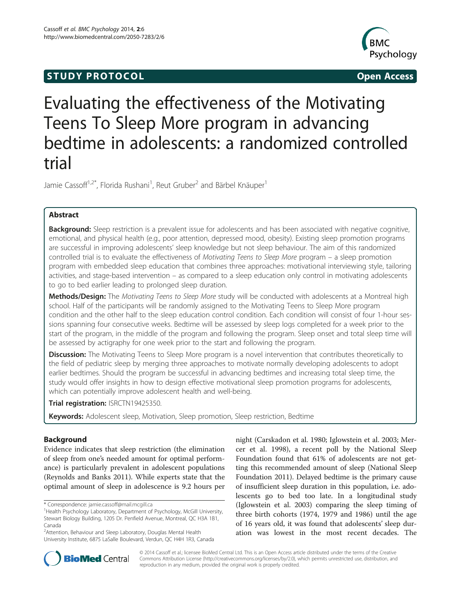# **STUDY PROTOCOL CONSUMING THE CONSUMING OPEN ACCESS**



# Evaluating the effectiveness of the Motivating Teens To Sleep More program in advancing bedtime in adolescents: a randomized controlled trial

Jamie Cassoff<sup>1,2\*</sup>, Florida Rushani<sup>1</sup>, Reut Gruber<sup>2</sup> and Bärbel Knäuper<sup>1</sup>

# Abstract

**Background:** Sleep restriction is a prevalent issue for adolescents and has been associated with negative cognitive, emotional, and physical health (e.g., poor attention, depressed mood, obesity). Existing sleep promotion programs are successful in improving adolescents' sleep knowledge but not sleep behaviour. The aim of this randomized controlled trial is to evaluate the effectiveness of Motivating Teens to Sleep More program – a sleep promotion program with embedded sleep education that combines three approaches: motivational interviewing style, tailoring activities, and stage-based intervention – as compared to a sleep education only control in motivating adolescents to go to bed earlier leading to prolonged sleep duration.

Methods/Design: The Motivating Teens to Sleep More study will be conducted with adolescents at a Montreal high school. Half of the participants will be randomly assigned to the Motivating Teens to Sleep More program condition and the other half to the sleep education control condition. Each condition will consist of four 1-hour sessions spanning four consecutive weeks. Bedtime will be assessed by sleep logs completed for a week prior to the start of the program, in the middle of the program and following the program. Sleep onset and total sleep time will be assessed by actigraphy for one week prior to the start and following the program.

**Discussion:** The Motivating Teens to Sleep More program is a novel intervention that contributes theoretically to the field of pediatric sleep by merging three approaches to motivate normally developing adolescents to adopt earlier bedtimes. Should the program be successful in advancing bedtimes and increasing total sleep time, the study would offer insights in how to design effective motivational sleep promotion programs for adolescents, which can potentially improve adolescent health and well-being.

Trial registration: [ISRCTN19425350](http://www.controlled-trials.com/ISRCTN19425350/).

Keywords: Adolescent sleep, Motivation, Sleep promotion, Sleep restriction, Bedtime

# Background

Evidence indicates that sleep restriction (the elimination of sleep from one's needed amount for optimal performance) is particularly prevalent in adolescent populations (Reynolds and Banks [2011](#page-9-0)). While experts state that the optimal amount of sleep in adolescence is 9.2 hours per

<sup>2</sup> Attention, Behaviour and Sleep Laboratory, Douglas Mental Health University Institute, 6875 LaSalle Boulevard, Verdun, QC H4H 1R3, Canada

night (Carskadon et al. [1980;](#page-8-0) Iglowstein et al. [2003;](#page-8-0) Mercer et al. [1998](#page-8-0)), a recent poll by the National Sleep Foundation found that 61% of adolescents are not getting this recommended amount of sleep (National Sleep Foundation [2011](#page-8-0)). Delayed bedtime is the primary cause of insufficient sleep duration in this population, i.e. adolescents go to bed too late. In a longitudinal study (Iglowstein et al. [2003](#page-8-0)) comparing the sleep timing of three birth cohorts (1974, 1979 and 1986) until the age of 16 years old, it was found that adolescents' sleep duration was lowest in the most recent decades. The



© 2014 Cassoff et al.; licensee BioMed Central Ltd. This is an Open Access article distributed under the terms of the Creative Commons Attribution License [\(http://creativecommons.org/licenses/by/2.0\)](http://creativecommons.org/licenses/by/2.0), which permits unrestricted use, distribution, and reproduction in any medium, provided the original work is properly credited.

<sup>\*</sup> Correspondence: [jamie.cassoff@mail.mcgill.ca](mailto:jamie.cassoff@mail.mcgill.ca) <sup>1</sup>

<sup>&</sup>lt;sup>1</sup> Health Psychology Laboratory, Department of Psychology, McGill University, Stewart Biology Building, 1205 Dr. Penfield Avenue, Montreal, QC H3A 1B1, Canada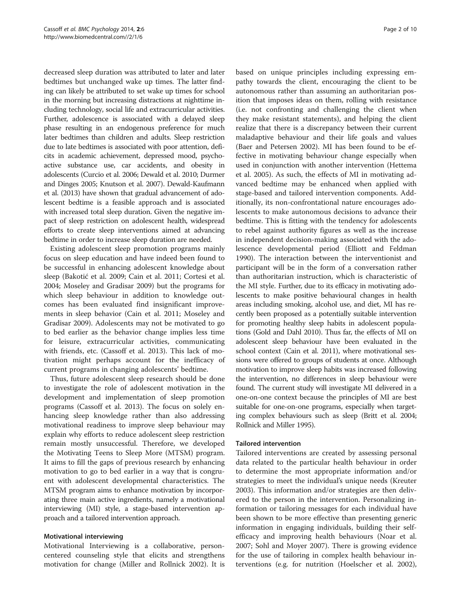decreased sleep duration was attributed to later and later bedtimes but unchanged wake up times. The latter finding can likely be attributed to set wake up times for school in the morning but increasing distractions at nighttime including technology, social life and extracurricular activities. Further, adolescence is associated with a delayed sleep phase resulting in an endogenous preference for much later bedtimes than children and adults. Sleep restriction due to late bedtimes is associated with poor attention, deficits in academic achievement, depressed mood, psychoactive substance use, car accidents, and obesity in adolescents (Curcio et al. [2006](#page-8-0); Dewald et al. [2010](#page-8-0); Durmer and Dinges [2005;](#page-8-0) Knutson et al. [2007\)](#page-8-0). Dewald-Kaufmann et al. ([2013\)](#page-8-0) have shown that gradual advancement of adolescent bedtime is a feasible approach and is associated with increased total sleep duration. Given the negative impact of sleep restriction on adolescent health, widespread efforts to create sleep interventions aimed at advancing bedtime in order to increase sleep duration are needed.

Existing adolescent sleep promotion programs mainly focus on sleep education and have indeed been found to be successful in enhancing adolescent knowledge about sleep (Bakotić et al. [2009;](#page-8-0) Cain et al. [2011](#page-8-0); Cortesi et al. [2004](#page-8-0); Moseley and Gradisar [2009](#page-8-0)) but the programs for which sleep behaviour in addition to knowledge outcomes has been evaluated find insignificant improvements in sleep behavior (Cain et al. [2011;](#page-8-0) Moseley and Gradisar [2009\)](#page-8-0). Adolescents may not be motivated to go to bed earlier as the behavior change implies less time for leisure, extracurricular activities, communicating with friends, etc. (Cassoff et al. [2013\)](#page-8-0). This lack of motivation might perhaps account for the inefficacy of current programs in changing adolescents' bedtime.

Thus, future adolescent sleep research should be done to investigate the role of adolescent motivation in the development and implementation of sleep promotion programs (Cassoff et al. [2013\)](#page-8-0). The focus on solely enhancing sleep knowledge rather than also addressing motivational readiness to improve sleep behaviour may explain why efforts to reduce adolescent sleep restriction remain mostly unsuccessful. Therefore, we developed the Motivating Teens to Sleep More (MTSM) program. It aims to fill the gaps of previous research by enhancing motivation to go to bed earlier in a way that is congruent with adolescent developmental characteristics. The MTSM program aims to enhance motivation by incorporating three main active ingredients, namely a motivational interviewing (MI) style, a stage-based intervention approach and a tailored intervention approach.

#### Motivational interviewing

Motivational Interviewing is a collaborative, personcentered counseling style that elicits and strengthens motivation for change (Miller and Rollnick [2002\)](#page-8-0). It is

based on unique principles including expressing empathy towards the client, encouraging the client to be autonomous rather than assuming an authoritarian position that imposes ideas on them, rolling with resistance (i.e. not confronting and challenging the client when they make resistant statements), and helping the client realize that there is a discrepancy between their current maladaptive behaviour and their life goals and values (Baer and Petersen [2002\)](#page-8-0). MI has been found to be effective in motivating behaviour change especially when used in conjunction with another intervention (Hettema et al. [2005\)](#page-8-0). As such, the effects of MI in motivating advanced bedtime may be enhanced when applied with stage-based and tailored intervention components. Additionally, its non-confrontational nature encourages adolescents to make autonomous decisions to advance their bedtime. This is fitting with the tendency for adolescents to rebel against authority figures as well as the increase in independent decision-making associated with the adolescence developmental period (Elliott and Feldman [1990](#page-8-0)). The interaction between the interventionist and participant will be in the form of a conversation rather than authoritarian instruction, which is characteristic of the MI style. Further, due to its efficacy in motivating adolescents to make positive behavioural changes in health areas including smoking, alcohol use, and diet, MI has recently been proposed as a potentially suitable intervention for promoting healthy sleep habits in adolescent populations (Gold and Dahl [2010\)](#page-8-0). Thus far, the effects of MI on adolescent sleep behaviour have been evaluated in the school context (Cain et al. [2011](#page-8-0)), where motivational sessions were offered to groups of students at once. Although motivation to improve sleep habits was increased following the intervention, no differences in sleep behaviour were found. The current study will investigate MI delivered in a one-on-one context because the principles of MI are best suitable for one-on-one programs, especially when targeting complex behaviours such as sleep (Britt et al. [2004](#page-8-0); Rollnick and Miller [1995\)](#page-9-0).

#### Tailored intervention

Tailored interventions are created by assessing personal data related to the particular health behaviour in order to determine the most appropriate information and/or strategies to meet the individual's unique needs (Kreuter [2003](#page-8-0)). This information and/or strategies are then delivered to the person in the intervention. Personalizing information or tailoring messages for each individual have been shown to be more effective than presenting generic information in engaging individuals, building their selfefficacy and improving health behaviours (Noar et al. [2007](#page-8-0); Sohl and Moyer [2007](#page-9-0)). There is growing evidence for the use of tailoring in complex health behaviour interventions (e.g. for nutrition (Hoelscher et al. [2002](#page-8-0)),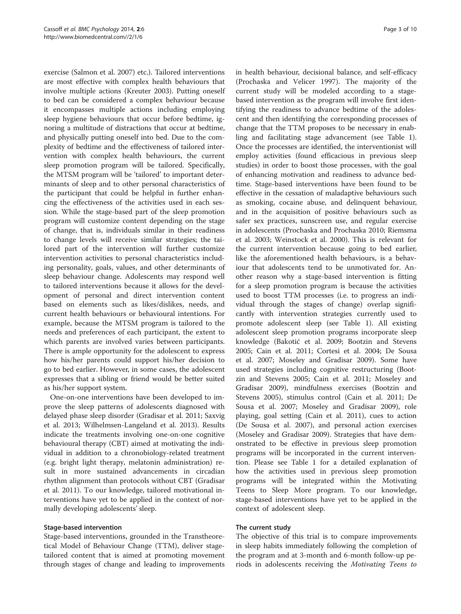exercise (Salmon et al. [2007](#page-9-0)) etc.). Tailored interventions are most effective with complex health behaviours that involve multiple actions (Kreuter [2003\)](#page-8-0). Putting oneself to bed can be considered a complex behaviour because it encompasses multiple actions including employing sleep hygiene behaviours that occur before bedtime, ignoring a multitude of distractions that occur at bedtime, and physically putting oneself into bed. Due to the complexity of bedtime and the effectiveness of tailored intervention with complex health behaviours, the current sleep promotion program will be tailored. Specifically, the MTSM program will be 'tailored' to important determinants of sleep and to other personal characteristics of the participant that could be helpful in further enhancing the effectiveness of the activities used in each session. While the stage-based part of the sleep promotion program will customize content depending on the stage of change, that is, individuals similar in their readiness to change levels will receive similar strategies; the tailored part of the intervention will further customize intervention activities to personal characteristics including personality, goals, values, and other determinants of sleep behaviour change. Adolescents may respond well to tailored interventions because it allows for the development of personal and direct intervention content based on elements such as likes/dislikes, needs, and current health behaviours or behavioural intentions. For example, because the MTSM program is tailored to the needs and preferences of each participant, the extent to which parents are involved varies between participants. There is ample opportunity for the adolescent to express how his/her parents could support his/her decision to go to bed earlier. However, in some cases, the adolescent expresses that a sibling or friend would be better suited as his/her support system.

One-on-one interventions have been developed to improve the sleep patterns of adolescents diagnosed with delayed phase sleep disorder (Gradisar et al. [2011](#page-8-0); Saxvig et al. [2013](#page-9-0); Wilhelmsen-Langeland et al. [2013\)](#page-9-0). Results indicate the treatments involving one-on-one cognitive behavioural therapy (CBT) aimed at motivating the individual in addition to a chronobiology-related treatment (e.g. bright light therapy, melatonin administration) result in more sustained advancements in circadian rhythm alignment than protocols without CBT (Gradisar et al. [2011\)](#page-8-0). To our knowledge, tailored motivational interventions have yet to be applied in the context of normally developing adolescents' sleep.

#### Stage-based intervention

Stage-based interventions, grounded in the Transtheoretical Model of Behaviour Change (TTM), deliver stagetailored content that is aimed at promoting movement through stages of change and leading to improvements

in health behaviour, decisional balance, and self-efficacy (Prochaska and Velicer [1997](#page-8-0)). The majority of the current study will be modeled according to a stagebased intervention as the program will involve first identifying the readiness to advance bedtime of the adolescent and then identifying the corresponding processes of change that the TTM proposes to be necessary in enabling and facilitating stage advancement (see Table [1](#page-3-0)). Once the processes are identified, the interventionist will employ activities (found efficacious in previous sleep studies) in order to boost those processes, with the goal of enhancing motivation and readiness to advance bedtime. Stage-based interventions have been found to be effective in the cessation of maladaptive behaviours such as smoking, cocaine abuse, and delinquent behaviour, and in the acquisition of positive behaviours such as safer sex practices, sunscreen use, and regular exercise in adolescents (Prochaska and Prochaska [2010;](#page-8-0) Riemsma et al. [2003;](#page-9-0) Weinstock et al. [2000](#page-9-0)). This is relevant for the current intervention because going to bed earlier, like the aforementioned health behaviours, is a behaviour that adolescents tend to be unmotivated for. Another reason why a stage-based intervention is fitting for a sleep promotion program is because the activities used to boost TTM processes (i.e. to progress an individual through the stages of change) overlap significantly with intervention strategies currently used to promote adolescent sleep (see Table [1](#page-3-0)). All existing adolescent sleep promotion programs incorporate sleep knowledge (Bakotić et al. [2009;](#page-8-0) Bootzin and Stevens [2005](#page-8-0); Cain et al. [2011](#page-8-0); Cortesi et al. [2004;](#page-8-0) De Sousa et al. [2007](#page-8-0); Moseley and Gradisar [2009\)](#page-8-0). Some have used strategies including cognitive restructuring (Bootzin and Stevens [2005](#page-8-0); Cain et al. [2011;](#page-8-0) Moseley and Gradisar [2009](#page-8-0)), mindfulness exercises (Bootzin and Stevens [2005](#page-8-0)), stimulus control (Cain et al. [2011;](#page-8-0) De Sousa et al. [2007](#page-8-0); Moseley and Gradisar [2009\)](#page-8-0), role playing, goal setting (Cain et al. [2011\)](#page-8-0), cues to action (De Sousa et al. [2007\)](#page-8-0), and personal action exercises (Moseley and Gradisar [2009\)](#page-8-0). Strategies that have demonstrated to be effective in previous sleep promotion programs will be incorporated in the current intervention. Please see Table [1](#page-3-0) for a detailed explanation of how the activities used in previous sleep promotion programs will be integrated within the Motivating Teens to Sleep More program. To our knowledge, stage-based interventions have yet to be applied in the context of adolescent sleep.

#### The current study

The objective of this trial is to compare improvements in sleep habits immediately following the completion of the program and at 3-month and 6-month follow-up periods in adolescents receiving the Motivating Teens to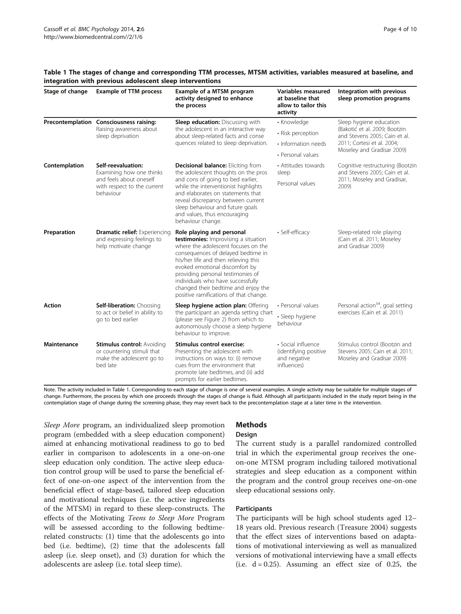#### <span id="page-3-0"></span>Table 1 The stages of change and corresponding TTM processes, MTSM activities, variables measured at baseline, and integration with previous adolescent sleep interventions

| Stage of change | <b>Example of TTM process</b>                                                                                         | Example of a MTSM program<br>activity designed to enhance<br>the process                                                                                                                                                                                                                                                                                                            | Variables measured<br>at baseline that<br>allow to tailor this<br>activity | Integration with previous<br>sleep promotion programs                                                                                                 |
|-----------------|-----------------------------------------------------------------------------------------------------------------------|-------------------------------------------------------------------------------------------------------------------------------------------------------------------------------------------------------------------------------------------------------------------------------------------------------------------------------------------------------------------------------------|----------------------------------------------------------------------------|-------------------------------------------------------------------------------------------------------------------------------------------------------|
|                 | Precontemplation Consciousness raising:<br>Raising awareness about<br>sleep deprivation                               | Sleep education: Discussing with<br>the adolescent in an interactive way<br>about sleep-related facts and conse<br>quences related to sleep deprivation.                                                                                                                                                                                                                            | • Knowledge                                                                | Sleep hygiene education<br>(Bakotić et al. 2009; Bootzin<br>and Stevens 2005; Cain et al.<br>2011; Cortesi et al. 2004;<br>Moseley and Gradisar 2009) |
|                 |                                                                                                                       |                                                                                                                                                                                                                                                                                                                                                                                     | • Risk perception                                                          |                                                                                                                                                       |
|                 |                                                                                                                       |                                                                                                                                                                                                                                                                                                                                                                                     | · Information needs                                                        |                                                                                                                                                       |
|                 |                                                                                                                       |                                                                                                                                                                                                                                                                                                                                                                                     | • Personal values                                                          |                                                                                                                                                       |
| Contemplation   | Self-reevaluation:<br>Examining how one thinks<br>and feels about oneself<br>with respect to the current<br>behaviour | Decisional balance: Eliciting from<br>the adolescent thoughts on the pros<br>and cons of going to bed earlier,<br>while the interventionist highlights<br>and elaborates on statements that<br>reveal discrepancy between current<br>sleep behaviour and future goals<br>and values, thus encouraging<br>behaviour change.                                                          | • Attitudes towards<br>sleep                                               | Cognitive restructuring (Bootzin<br>and Stevens 2005; Cain et al.<br>2011; Moseley and Gradisar,<br>2009)                                             |
|                 |                                                                                                                       |                                                                                                                                                                                                                                                                                                                                                                                     | Personal values                                                            |                                                                                                                                                       |
| Preparation     | <b>Dramatic relief:</b> Experiencing<br>and expressing feelings to<br>help motivate change                            | Role playing and personal<br>testimonies: Improvising a situation<br>where the adolescent focuses on the<br>consequences of delayed bedtime in<br>his/her life and then relieving this<br>evoked emotional discomfort by<br>providing personal testimonies of<br>individuals who have successfully<br>changed their bedtime and enjoy the<br>positive ramifications of that change. | • Self-efficacy                                                            | Sleep-related role playing<br>(Cain et al. 2011; Moseley<br>and Gradisar 2009)                                                                        |
| Action          | Self-liberation: Choosing<br>to act or belief in ability to<br>go to bed earlier                                      | Sleep hygiene action plan: Offering<br>the participant an agenda setting chart<br>(please see Figure 2) from which to<br>autonomously choose a sleep hygiene<br>behaviour to improve.                                                                                                                                                                                               | • Personal values                                                          | Personal action <sup>34</sup> , goal setting<br>exercises (Cain et al. 2011)                                                                          |
|                 |                                                                                                                       |                                                                                                                                                                                                                                                                                                                                                                                     | · Sleep hygiene<br>behaviour                                               |                                                                                                                                                       |
| Maintenance     | <b>Stimulus control: Avoiding</b><br>or countering stimuli that<br>make the adolescent go to<br>bed late              | Stimulus control exercise:<br>Presenting the adolescent with<br>instructions on ways to: (i) remove<br>cues from the environment that<br>promote late bedtimes, and (ii) add<br>prompts for earlier bedtimes.                                                                                                                                                                       | · Social influence<br>(identifying positive<br>and negative<br>influences) | Stimulus control (Bootzin and<br>Stevens 2005; Cain et al. 2011;<br>Moseley and Gradisar 2009)                                                        |

Note. The activity included in Table 1. Corresponding to each stage of change is one of several examples. A single activity may be suitable for multiple stages of change. Furthermore, the process by which one proceeds through the stages of change is fluid. Although all participants included in the study report being in the contemplation stage of change during the screening phase, they may revert back to the precontemplation stage at a later time in the intervention.

Sleep More program, an individualized sleep promotion program (embedded with a sleep education component) aimed at enhancing motivational readiness to go to bed earlier in comparison to adolescents in a one-on-one sleep education only condition. The active sleep education control group will be used to parse the beneficial effect of one-on-one aspect of the intervention from the beneficial effect of stage-based, tailored sleep education and motivational techniques (i.e. the active ingredients of the MTSM) in regard to these sleep-constructs. The effects of the Motivating Teens to Sleep More Program will be assessed according to the following bedtimerelated constructs: (1) time that the adolescents go into bed (i.e. bedtime), (2) time that the adolescents fall asleep (i.e. sleep onset), and (3) duration for which the adolescents are asleep (i.e. total sleep time).

# Methods

#### Design

The current study is a parallel randomized controlled trial in which the experimental group receives the oneon-one MTSM program including tailored motivational strategies and sleep education as a component within the program and the control group receives one-on-one sleep educational sessions only.

#### Participants

The participants will be high school students aged 12– 18 years old. Previous research (Treasure [2004](#page-9-0)) suggests that the effect sizes of interventions based on adaptations of motivational interviewing as well as manualized versions of motivational interviewing have a small effects  $(i.e. d = 0.25)$ . Assuming an effect size of 0.25, the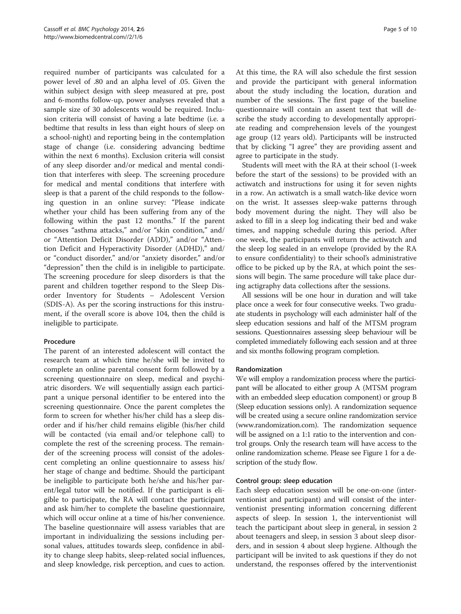required number of participants was calculated for a power level of .80 and an alpha level of .05. Given the within subject design with sleep measured at pre, post and 6-months follow-up, power analyses revealed that a sample size of 30 adolescents would be required. Inclusion criteria will consist of having a late bedtime (i.e. a bedtime that results in less than eight hours of sleep on a school-night) and reporting being in the contemplation stage of change (i.e. considering advancing bedtime within the next 6 months). Exclusion criteria will consist of any sleep disorder and/or medical and mental condition that interferes with sleep. The screening procedure for medical and mental conditions that interfere with sleep is that a parent of the child responds to the following question in an online survey: "Please indicate whether your child has been suffering from any of the following within the past 12 months." If the parent chooses "asthma attacks," and/or "skin condition," and/ or "Attention Deficit Disorder (ADD)," and/or "Attention Deficit and Hyperactivity Disorder (ADHD)," and/ or "conduct disorder," and/or "anxiety disorder," and/or "depression" then the child is in ineligible to participate. The screening procedure for sleep disorders is that the parent and children together respond to the Sleep Disorder Inventory for Students – Adolescent Version (SDIS-A). As per the scoring instructions for this instrument, if the overall score is above 104, then the child is ineligible to participate.

## Procedure

The parent of an interested adolescent will contact the research team at which time he/she will be invited to complete an online parental consent form followed by a screening questionnaire on sleep, medical and psychiatric disorders. We will sequentially assign each participant a unique personal identifier to be entered into the screening questionnaire. Once the parent completes the form to screen for whether his/her child has a sleep disorder and if his/her child remains eligible (his/her child will be contacted (via email and/or telephone call) to complete the rest of the screening process. The remainder of the screening process will consist of the adolescent completing an online questionnaire to assess his/ her stage of change and bedtime. Should the participant be ineligible to participate both he/she and his/her parent/legal tutor will be notified. If the participant is eligible to participate, the RA will contact the participant and ask him/her to complete the baseline questionnaire, which will occur online at a time of his/her convenience. The baseline questionnaire will assess variables that are important in individualizing the sessions including personal values, attitudes towards sleep, confidence in ability to change sleep habits, sleep-related social influences, and sleep knowledge, risk perception, and cues to action.

At this time, the RA will also schedule the first session and provide the participant with general information about the study including the location, duration and number of the sessions. The first page of the baseline questionnaire will contain an assent text that will describe the study according to developmentally appropriate reading and comprehension levels of the youngest age group (12 years old). Participants will be instructed that by clicking "I agree" they are providing assent and agree to participate in the study.

Students will meet with the RA at their school (1-week before the start of the sessions) to be provided with an actiwatch and instructions for using it for seven nights in a row. An actiwatch is a small watch-like device worn on the wrist. It assesses sleep-wake patterns through body movement during the night. They will also be asked to fill in a sleep log indicating their bed and wake times, and napping schedule during this period. After one week, the participants will return the actiwatch and the sleep log sealed in an envelope (provided by the RA to ensure confidentiality) to their school's administrative office to be picked up by the RA, at which point the sessions will begin. The same procedure will take place during actigraphy data collections after the sessions.

All sessions will be one hour in duration and will take place once a week for four consecutive weeks. Two graduate students in psychology will each administer half of the sleep education sessions and half of the MTSM program sessions. Questionnaires assessing sleep behaviour will be completed immediately following each session and at three and six months following program completion.

## Randomization

We will employ a randomization process where the participant will be allocated to either group A (MTSM program with an embedded sleep education component) or group B (Sleep education sessions only). A randomization sequence will be created using a secure online randomization service ([www.randomization.com\)](http://www.randomization.com/). The randomization sequence will be assigned on a 1:1 ratio to the intervention and control groups. Only the research team will have access to the online randomization scheme. Please see Figure [1](#page-5-0) for a description of the study flow.

#### Control group: sleep education

Each sleep education session will be one-on-one (interventionist and participant) and will consist of the interventionist presenting information concerning different aspects of sleep. In session 1, the interventionist will teach the participant about sleep in general, in session 2 about teenagers and sleep, in session 3 about sleep disorders, and in session 4 about sleep hygiene. Although the participant will be invited to ask questions if they do not understand, the responses offered by the interventionist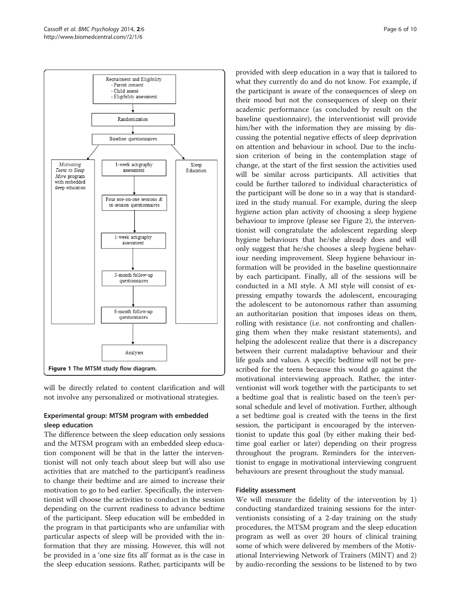<span id="page-5-0"></span>

will be directly related to content clarification and will not involve any personalized or motivational strategies.

# Experimental group: MTSM program with embedded sleep education

Figure 1 The MTSM study flow diagram.

The difference between the sleep education only sessions and the MTSM program with an embedded sleep education component will be that in the latter the interventionist will not only teach about sleep but will also use activities that are matched to the participant's readiness to change their bedtime and are aimed to increase their motivation to go to bed earlier. Specifically, the interventionist will choose the activities to conduct in the session depending on the current readiness to advance bedtime of the participant. Sleep education will be embedded in the program in that participants who are unfamiliar with particular aspects of sleep will be provided with the information that they are missing. However, this will not be provided in a 'one size fits all' format as is the case in the sleep education sessions. Rather, participants will be

provided with sleep education in a way that is tailored to what they currently do and do not know. For example, if the participant is aware of the consequences of sleep on their mood but not the consequences of sleep on their academic performance (as concluded by result on the baseline questionnaire), the interventionist will provide him/her with the information they are missing by discussing the potential negative effects of sleep deprivation on attention and behaviour in school. Due to the inclusion criterion of being in the contemplation stage of change, at the start of the first session the activities used will be similar across participants. All activities that could be further tailored to individual characteristics of the participant will be done so in a way that is standardized in the study manual. For example, during the sleep hygiene action plan activity of choosing a sleep hygiene behaviour to improve (please see Figure [2\)](#page-6-0), the interventionist will congratulate the adolescent regarding sleep hygiene behaviours that he/she already does and will only suggest that he/she chooses a sleep hygiene behaviour needing improvement. Sleep hygiene behaviour information will be provided in the baseline questionnaire by each participant. Finally, all of the sessions will be conducted in a MI style. A MI style will consist of expressing empathy towards the adolescent, encouraging the adolescent to be autonomous rather than assuming an authoritarian position that imposes ideas on them, rolling with resistance (i.e. not confronting and challenging them when they make resistant statements), and helping the adolescent realize that there is a discrepancy between their current maladaptive behaviour and their life goals and values. A specific bedtime will not be prescribed for the teens because this would go against the motivational interviewing approach. Rather, the interventionist will work together with the participants to set a bedtime goal that is realistic based on the teen's personal schedule and level of motivation. Further, although a set bedtime goal is created with the teens in the first session, the participant is encouraged by the interventionist to update this goal (by either making their bedtime goal earlier or later) depending on their progress throughout the program. Reminders for the interventionist to engage in motivational interviewing congruent behaviours are present throughout the study manual.

## Fidelity assessment

We will measure the fidelity of the intervention by 1) conducting standardized training sessions for the interventionists consisting of a 2-day training on the study procedures, the MTSM program and the sleep education program as well as over 20 hours of clinical training some of which were delivered by members of the Motivational Interviewing Network of Trainers (MINT) and 2) by audio-recording the sessions to be listened to by two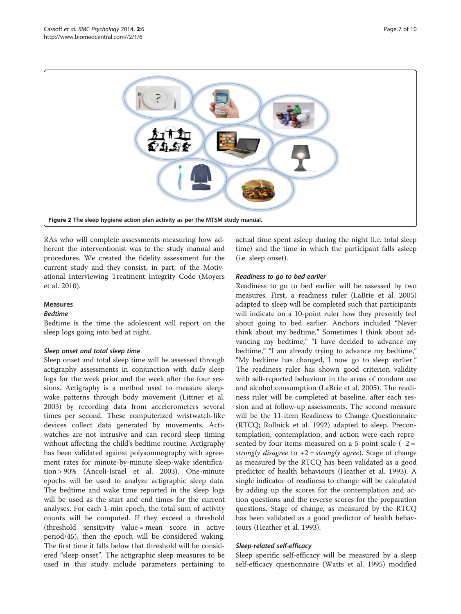<span id="page-6-0"></span>

RAs who will complete assessments measuring how adherent the interventionist was to the study manual and procedures. We created the fidelity assessment for the current study and they consist, in part, of the Motivational Interviewing Treatment Integrity Code (Moyers et al. [2010\)](#page-8-0).

#### Measures

#### Bedtime

Bedtime is the time the adolescent will report on the sleep logs going into bed at night.

#### Sleep onset and total sleep time

Sleep onset and total sleep time will be assessed through actigraphy assessments in conjunction with daily sleep logs for the week prior and the week after the four sessions. Actigraphy is a method used to measure sleepwake patterns through body movement (Littner et al. [2003](#page-8-0)) by recording data from accelerometers several times per second. These computerized wristwatch-like devices collect data generated by movements. Actiwatches are not intrusive and can record sleep timing without affecting the child's bedtime routine. Actigraphy has been validated against polysomnography with agreement rates for minute-by-minute sleep-wake identification > 90% (Ancoli-Israel et al. [2003](#page-8-0)). One-minute epochs will be used to analyze actigraphic sleep data. The bedtime and wake time reported in the sleep logs will be used as the start and end times for the current analyses. For each 1-min epoch, the total sum of activity counts will be computed. If they exceed a threshold (threshold sensitivity value = mean score in active period/45), then the epoch will be considered waking. The first time it falls below that threshold will be considered "sleep onset". The actigraphic sleep measures to be used in this study include parameters pertaining to actual time spent asleep during the night (i.e. total sleep time) and the time in which the participant falls asleep (i.e. sleep onset).

#### Readiness to go to bed earlier

Readiness to go to bed earlier will be assessed by two measures. First, a readiness ruler (LaBrie et al. [2005](#page-8-0)) adapted to sleep will be completed such that participants will indicate on a 10-point ruler how they presently feel about going to bed earlier. Anchors included "Never think about my bedtime," Sometimes I think about advancing my bedtime," "I have decided to advance my bedtime," "I am already trying to advance my bedtime," "My bedtime has changed, I now go to sleep earlier." The readiness ruler has shown good criterion validity with self-reported behaviour in the areas of condom use and alcohol consumption (LaBrie et al. [2005](#page-8-0)). The readiness ruler will be completed at baseline, after each session and at follow-up assessments. The second measure will be the 11-item Readiness to Change Questionnaire (RTCQ; Rollnick et al. [1992](#page-9-0)) adapted to sleep. Precontemplation, contemplation, and action were each represented by four items measured on a 5-point scale  $(-2)$  = strongly disagree to  $+2$  = strongly agree). Stage of change as measured by the RTCQ has been validated as a good predictor of health behaviours (Heather et al. [1993](#page-8-0)). A single indicator of readiness to change will be calculated by adding up the scores for the contemplation and action questions and the reverse scores for the preparation questions. Stage of change, as measured by the RTCQ has been validated as a good predictor of health behaviours (Heather et al. [1993](#page-8-0)).

## Sleep-related self-efficacy

Sleep specific self-efficacy will be measured by a sleep self-efficacy questionnaire (Watts et al. [1995\)](#page-9-0) modified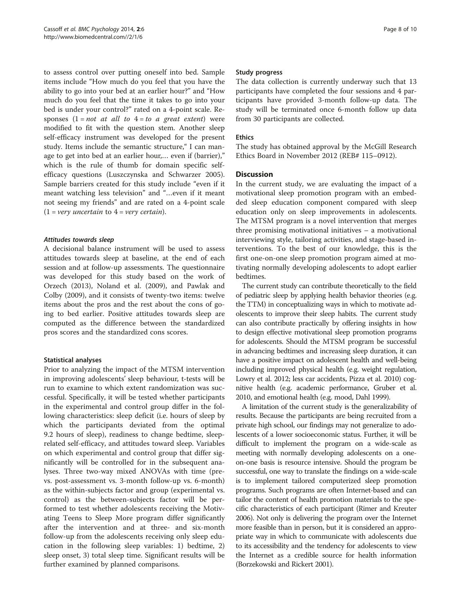to assess control over putting oneself into bed. Sample items include "How much do you feel that you have the ability to go into your bed at an earlier hour?" and "How much do you feel that the time it takes to go into your bed is under your control?" rated on a 4-point scale. Responses  $(1 = not at all to 4 = to a great extent)$  were modified to fit with the question stem. Another sleep self-efficacy instrument was developed for the present study. Items include the semantic structure," I can manage to get into bed at an earlier hour,… even if (barrier)," which is the rule of thumb for domain specific selfefficacy questions (Luszczynska and Schwarzer [2005](#page-8-0)). Sample barriers created for this study include "even if it meant watching less television" and "…even if it meant not seeing my friends" and are rated on a 4-point scale  $(1 = very uncertain to 4 = very certain).$ 

#### Attitudes towards sleep

A decisional balance instrument will be used to assess attitudes towards sleep at baseline, at the end of each session and at follow-up assessments. The questionnaire was developed for this study based on the work of Orzech [\(2013\)](#page-8-0), Noland et al. [\(2009\)](#page-8-0), and Pawlak and Colby ([2009](#page-8-0)), and it consists of twenty-two items: twelve items about the pros and the rest about the cons of going to bed earlier. Positive attitudes towards sleep are computed as the difference between the standardized pros scores and the standardized cons scores.

## Statistical analyses

Prior to analyzing the impact of the MTSM intervention in improving adolescents' sleep behaviour, t-tests will be run to examine to which extent randomization was successful. Specifically, it will be tested whether participants in the experimental and control group differ in the following characteristics: sleep deficit (i.e. hours of sleep by which the participants deviated from the optimal 9.2 hours of sleep), readiness to change bedtime, sleeprelated self-efficacy, and attitudes toward sleep. Variables on which experimental and control group that differ significantly will be controlled for in the subsequent analyses. Three two-way mixed ANOVAs with time (prevs. post-assessment vs. 3-month follow-up vs. 6-month) as the within-subjects factor and group (experimental vs. control) as the between-subjects factor will be performed to test whether adolescents receiving the Motivating Teens to Sleep More program differ significantly after the intervention and at three- and six-month follow-up from the adolescents receiving only sleep education in the following sleep variables: 1) bedtime, 2) sleep onset, 3) total sleep time. Significant results will be further examined by planned comparisons.

#### Study progress

The data collection is currently underway such that 13 participants have completed the four sessions and 4 participants have provided 3-month follow-up data. The study will be terminated once 6-month follow up data from 30 participants are collected.

#### Ethics

The study has obtained approval by the McGill Research Ethics Board in November 2012 (REB# 115–0912).

#### **Discussion**

In the current study, we are evaluating the impact of a motivational sleep promotion program with an embedded sleep education component compared with sleep education only on sleep improvements in adolescents. The MTSM program is a novel intervention that merges three promising motivational initiatives – a motivational interviewing style, tailoring activities, and stage-based interventions. To the best of our knowledge, this is the first one-on-one sleep promotion program aimed at motivating normally developing adolescents to adopt earlier bedtimes.

The current study can contribute theoretically to the field of pediatric sleep by applying health behavior theories (e.g. the TTM) in conceptualizing ways in which to motivate adolescents to improve their sleep habits. The current study can also contribute practically by offering insights in how to design effective motivational sleep promotion programs for adolescents. Should the MTSM program be successful in advancing bedtimes and increasing sleep duration, it can have a positive impact on adolescent health and well-being including improved physical health (e.g. weight regulation, Lowry et al. [2012](#page-8-0); less car accidents, Pizza et al. [2010](#page-8-0)) cognitive health (e.g. academic performance, Gruber et al. [2010,](#page-8-0) and emotional health (e.g. mood, Dahl [1999\)](#page-8-0).

A limitation of the current study is the generalizability of results. Because the participants are being recruited from a private high school, our findings may not generalize to adolescents of a lower socioeconomic status. Further, it will be difficult to implement the program on a wide-scale as meeting with normally developing adolescents on a oneon-one basis is resource intensive. Should the program be successful, one way to translate the findings on a wide-scale is to implement tailored computerized sleep promotion programs. Such programs are often Internet-based and can tailor the content of health promotion materials to the specific characteristics of each participant (Rimer and Kreuter [2006\)](#page-9-0). Not only is delivering the program over the Internet more feasible than in person, but it is considered an appropriate way in which to communicate with adolescents due to its accessibility and the tendency for adolescents to view the Internet as a credible source for health information (Borzekowski and Rickert [2001](#page-8-0)).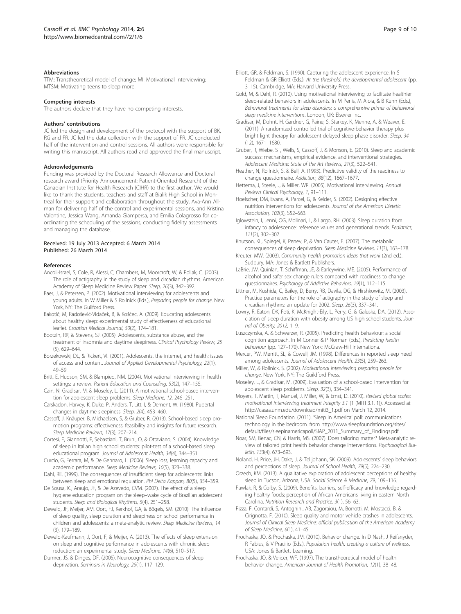#### <span id="page-8-0"></span>**Abbreviations**

TTM: Transtheoretical model of change; MI: Motivational interviewing; MTSM: Motivating teens to sleep more.

#### Competing interests

The authors declare that they have no competing interests.

#### Authors' contributions

JC led the design and development of the protocol with the support of BK, RG and FR. JC led the data collection with the support of FR. JC conducted half of the intervention and control sessions. All authors were responsible for writing this manuscript. All authors read and approved the final manuscript.

#### Acknowledgements

Funding was provided by the Doctoral Research Allowance and Doctoral research award (Priority Announcement: Patient-Oriented Research) of the Canadian Institute for Health Research (CIHR) to the first author. We would like to thank the students, teachers and staff at Bialik High School in Montreal for their support and collaboration throughout the study, Ava-Ann Allman for delivering half of the control and experimental sessions, and Kristina Valentine, Jessica Wang, Amanda Giampersa, and Emilia Colagrosso for coordinating the scheduling of the sessions, conducting fidelity assessments and managing the database.

#### Received: 19 July 2013 Accepted: 6 March 2014 Published: 26 March 2014

#### References

- Ancoli-Israel, S, Cole, R, Alessi, C, Chambers, M, Moorcroft, W, & Pollak, C. (2003). The role of actigraphy in the study of sleep and circadian rhythms. American Academy of Sleep Medicine Review Paper. Sleep, 26(3), 342–392.
- Baer, J, & Petersen, P. (2002). Motivational interviewing for adolescents and young adults. In W Miller & S Rollnick (Eds.), Preparing people for change. New York, NY: The Guilford Press.
- Bakotić, M, Radošević-Vidaček, B, & Košćec, A. (2009). Educating adolescents about healthy sleep: experimental study of effectiveness of educational leaflet. Croatian Medical Journal, 50(2), 174–181.
- Bootzin, RR, & Stevens, SJ. (2005). Adolescents, substance abuse, and the treatment of insomnia and daytime sleepiness. Clinical Psychology Review, 25 (5), 629–644.
- Borzekowski, DL, & Rickert, VI. (2001). Adolescents, the internet, and health: issues of access and content. Journal of Applied Developmental Psychology, 22(1), 49–59.
- Britt, E, Hudson, SM, & Blampied, NM. (2004). Motivational interviewing in health settings: a review. Patient Education and Counseling, 53(2), 147–155.

Cain, N, Gradisar, M, & Moseley, L. (2011). A motivational school-based intervention for adolescent sleep problems. Sleep Medicine, 12, 246–251.

- Carskadon, Harvey, K, Duke, P, Anders, T, Litt, I, & Dement, W. (1980). Pubertal changes in daytime sleepiness. Sleep, 2(4), 453–460.
- Cassoff, J, Knäuper, B, Michaelsen, S, & Gruber, R. (2013). School-based sleep promotion programs: effectiveness, feasibility and insights for future research. Sleep Medicine Reviews, 17(3), 207–214.
- Cortesi, F, Giannotti, F, Sebastiani, T, Bruni, O, & Ottaviano, S. (2004). Knowledge of sleep in Italian high school students: pilot-test of a school-based sleep educational program. Journal of Adolescent Health, 34(4), 344–351.
- Curcio, G, Ferrara, M, & De Gennaro, L. (2006). Sleep loss, learning capacity and academic performance. Sleep Medicine Reviews, 10(5), 323–338.
- Dahl, RE. (1999). The consequences of insufficient sleep for adolescents: links between sleep and emotional regulation. Phi Delta Kappan, 80(5), 354–359.
- De Sousa, IC, Araujo, JF, & De Azevedo, CVM. (2007). The effect of a sleep hygiene education program on the sleep–wake cycle of Brazilian adolescent students. Sleep and Biological Rhythms, 5(4), 251–258.
- Dewald, JF, Meijer, AM, Oort, FJ, Kerkhof, GA, & Bögels, SM. (2010). The influence of sleep quality, sleep duration and sleepiness on school performance in children and adolescents: a meta-analytic review. Sleep Medicine Reviews, 14 (3), 179–189.
- Dewald-Kaufmann, J, Oort, F, & Meijer, A. (2013). The effects of sleep extension on sleep and cognitive performance in adolescents with chronic sleep reduction: an experimental study. Sleep Medicine, 14(6), 510–517.
- Durmer, JS, & Dinges, DF. (2005). Neurocognitive consequences of sleep deprivation. Seminars in Neurology, 25(1), 117–129.
- Elliott, GR, & Feldman, S. (1990). Capturing the adolescent experience. In S Feldman & GR Elliott (Eds.), At the threshold: the developmental adolescent (pp. 3–15). Cambridge, MA: Harvard University Press.
- Gold, M, & Dahl, R. (2010). Using motivational interviewing to facilitate healthier sleep-related behaviors in adolescents. In M Perlis, M Aloia, & B Kuhn (Eds.), Behavioral treatments for sleep disorders: a comprehensive primer of behavioral sleep medicine interventions. London, UK: Elsevier Inc.
- Gradisar, M, Dohnt, H, Gardner, G, Paine, S, Starkey, K, Menne, A, & Weaver, E. (2011). A randomized controlled trial of cognitive-behavior therapy plus bright light therapy for adolescent delayed sleep phase disorder. Sleep, 34 (12), 1671–1680.

Gruber, R, Wiebe, ST, Wells, S, Cassoff, J, & Monson, E. (2010). Sleep and academic success: mechanisms, empirical evidence, and interventional strategies. Adolescent Medicine: State of the Art Reviews, 21(3), 522–541.

- Heather, N, Rollnick, S, & Bell, A. (1993). Predictive validity of the readiness to change questionnaire. Addiction, 88(12), 1667–1677.
- Hettema, J, Steele, J, & Miller, WR. (2005). Motivational interviewing. Annual Reviews Clinical Psychology, 1, 91–111.
- Hoelscher, DM, Evans, A, Parcel, G, & Kelder, S. (2002). Designing effective nutrition interventions for adolescents. Journal of the American Dietetic Association, 102(3), S52–S63.
- Iglowstein, I, Jenni, OG, Molinari, L, & Largo, RH. (2003). Sleep duration from infancy to adolescence: reference values and generational trends. Pediatrics, 111(2), 302–307.
- Knutson, KL, Spiegel, K, Penev, P, & Van Cauter, E. (2007). The metabolic consequences of sleep deprivation. Sleep Medicine Reviews, 11(3), 163–178.
- Kreuter, MW. (2003). Community health promotion ideas that work (2nd ed.). Sudbury, MA: Jones & Bartlett Publishers.
- LaBrie, JW, Quinlan, T, Schiffman, JE, & Earleywine, ME. (2005). Performance of alcohol and safer sex change rulers compared with readiness to change questionnaires. Psychology of Addictive Behaviors, 19(1), 112–115.
- Littner, M, Kushida, C, Bailey, D, Berry, RB, Davila, DG, & Hirshkowitz, M. (2003). Practice parameters for the role of actigraphy in the study of sleep and circadian rhythms: an update for 2002. Sleep, 26(3), 337–341.
- Lowry, R, Eaton, DK, Foti, K, McKnight-Eily, L, Perry, G, & Galuska, DA. (2012). Association of sleep duration with obesity among US high school students. Journal of Obesity, 2012, 1–9.
- Luszczynska, A, & Schwarzer, R. (2005). Predicting health behaviour: a social cognition approach. In M Conner & P Norman (Eds.), Predicting health behaviour (pp. 127–170). New York: McGraw-Hill Internationa.
- Mercer, PW, Merritt, SL, & Cowell, JM. (1998). Differences in reported sleep need among adolescents. Journal of Adolescent Health, 23(5), 259–263.
- Miller, W, & Rollnick, S. (2002). Motivational interviewing preparing people for change. New York, NY: The Guildford Press.
- Moseley, L, & Gradisar, M. (2009). Evaluation of a school-based intervention for adolescent sleep problems. Sleep, 32(3), 334–341.
- Moyers, T, Martin, T, Manuel, J, Miller, W, & Ernst, D. (2010). Revised global scales: motivational interviewing treatment integrity 3.1 (1 (MITI 3.1. 1)). Accessed at [http://casaa.unm.edu/download/miti3\\_1.pdf](http://casaa.unm.edu/download/miti3_1.pdf) on March 12, 2014.
- National Sleep Foundation. (2011). 'Sleep in America' poll: communications technology in the bedroom. from [http://www.sleepfoundation.org/sites/](http://www.sleepfoundation.org/sites/default/files/sleepinamericapoll/SIAP_2011_Summary_of_Findings.pdf) [default/files/sleepinamericapoll/SIAP\\_2011\\_Summary\\_of\\_Findings.pdf](http://www.sleepfoundation.org/sites/default/files/sleepinamericapoll/SIAP_2011_Summary_of_Findings.pdf).
- Noar, SM, Benac, CN, & Harris, MS. (2007). Does tailoring matter? Meta-analytic review of tailored print health behavior change interventions. Psychological Bulletin, 133(4), 673–693.
- Noland, H, Price, JH, Dake, J, & Telljohann, SK. (2009). Adolescents' sleep behaviors and perceptions of sleep. Journal of School Health, 79(5), 224–230.
- Orzech, KM. (2013). A qualitative exploration of adolescent perceptions of healthy sleep in Tucson, Arizona, USA. Social Science & Medicine, 79, 109–116.
- Pawlak, R, & Colby, S. (2009). Benefits, barriers, self-efficacy and knowledge regarding healthy foods; perception of African Americans living in eastern North Carolina. Nutrition Research and Practice, 3(1), 56–63.
- Pizza, F, Contardi, S, Antognini, AB, Zagoraiou, M, Borrotti, M, Mostacci, B, & Cirignotta, F. (2010). Sleep quality and motor vehicle crashes in adolescents. Journal of Clinical Sleep Medicine: official publication of the American Academy of Sleep Medicine, 6(1), 41–45.
- Prochaska, JO, & Prochaska, JM. (2010). Behavior change. In D Nash, J Reifsnyder, R Fabius, & V Pracilio (Eds.), Population health: creating a culture of wellness. USA: Jones & Bartlett Learning.
- Prochaska, JO, & Velicer, WF. (1997). The transtheoretical model of health behavior change. American Journal of Health Promotion, 12(1), 38–48.